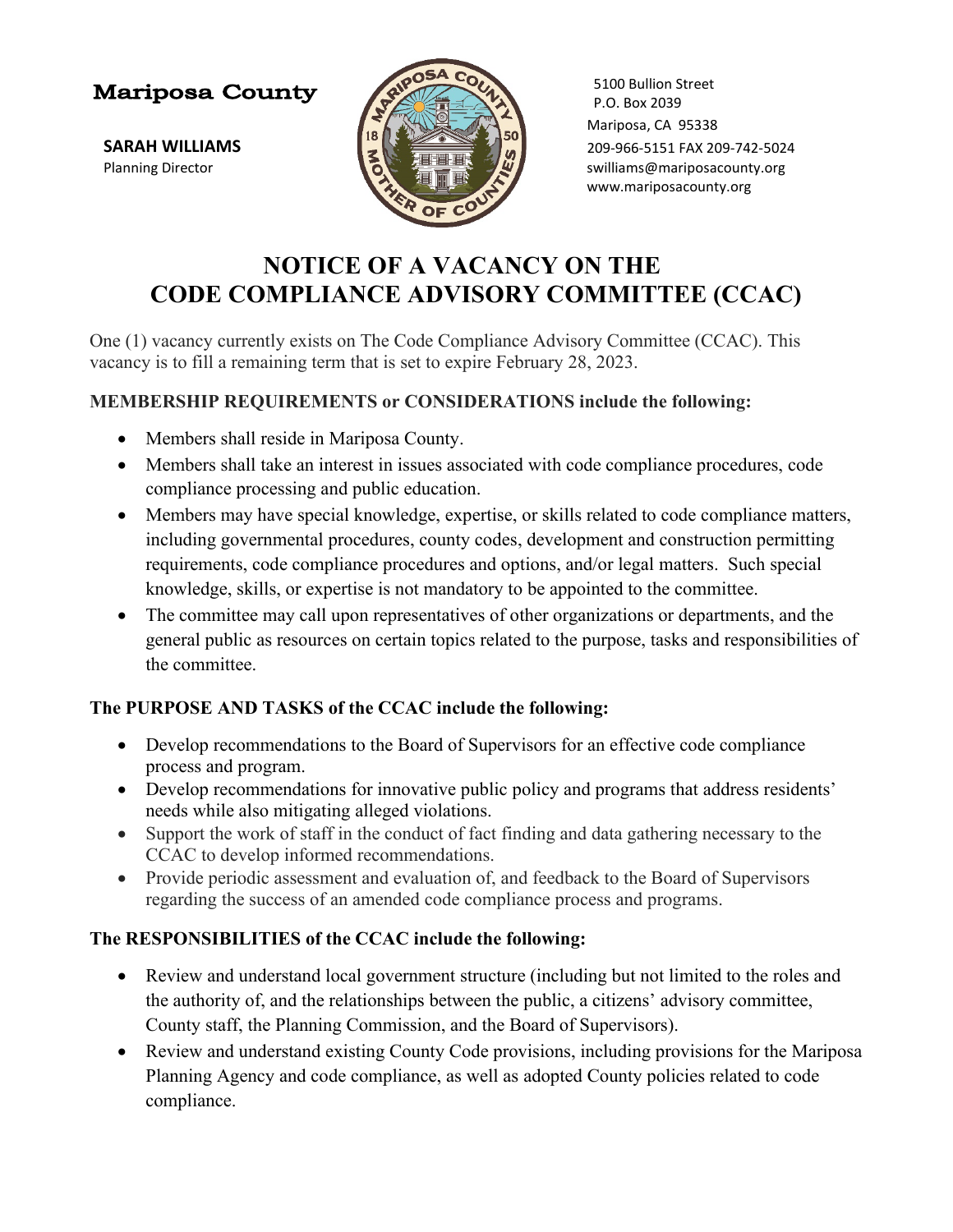## **Mariposa County**



5100 Bullion Street P.O. Box 2039 Mariposa, CA 95338 **SARAH WILLIAMS** 209-966-5151 FAX 209-742-5024 Planning Director **Supering the Contract of Contract of Contract of Supering Supering Supering Supering Supering Supering Supering Supering Supering Supering Supering Supering Supering Supering Supering Supering Supering** www.mariposacounty.org

# **NOTICE OF A VACANCY ON THE CODE COMPLIANCE ADVISORY COMMITTEE (CCAC)**

One (1) vacancy currently exists on The Code Compliance Advisory Committee (CCAC). This vacancy is to fill a remaining term that is set to expire February 28, 2023.

#### **MEMBERSHIP REQUIREMENTS or CONSIDERATIONS include the following:**

- Members shall reside in Mariposa County.
- Members shall take an interest in issues associated with code compliance procedures, code compliance processing and public education.
- Members may have special knowledge, expertise, or skills related to code compliance matters, including governmental procedures, county codes, development and construction permitting requirements, code compliance procedures and options, and/or legal matters. Such special knowledge, skills, or expertise is not mandatory to be appointed to the committee.
- The committee may call upon representatives of other organizations or departments, and the general public as resources on certain topics related to the purpose, tasks and responsibilities of the committee.

## **The PURPOSE AND TASKS of the CCAC include the following:**

- Develop recommendations to the Board of Supervisors for an effective code compliance process and program.
- Develop recommendations for innovative public policy and programs that address residents' needs while also mitigating alleged violations.
- Support the work of staff in the conduct of fact finding and data gathering necessary to the CCAC to develop informed recommendations.
- Provide periodic assessment and evaluation of, and feedback to the Board of Supervisors regarding the success of an amended code compliance process and programs.

## **The RESPONSIBILITIES of the CCAC include the following:**

- Review and understand local government structure (including but not limited to the roles and the authority of, and the relationships between the public, a citizens' advisory committee, County staff, the Planning Commission, and the Board of Supervisors).
- Review and understand existing County Code provisions, including provisions for the Mariposa Planning Agency and code compliance, as well as adopted County policies related to code compliance.